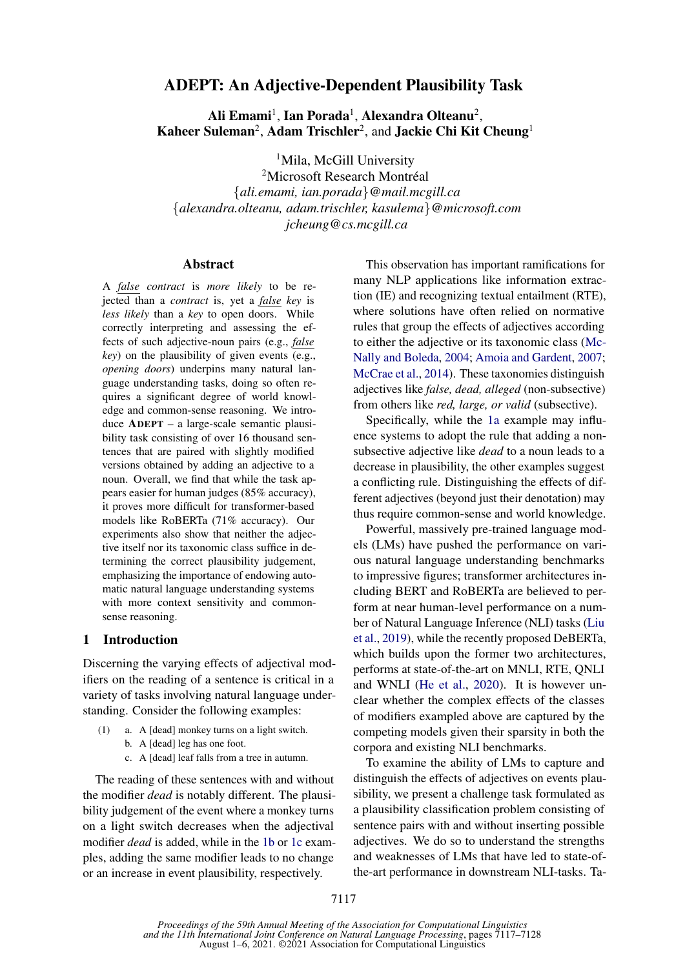# ADEPT: An Adjective-Dependent Plausibility Task

Ali Emami $^1$ , Ian Porada $^1$ , Alexandra Olteanu $^2$ , Kaheer Suleman<sup>2</sup>, Adam Trischler<sup>2</sup>, and Jackie Chi Kit Cheung<sup>1</sup>

<sup>1</sup>Mila, McGill University

<sup>2</sup>Microsoft Research Montréal {*ali.emami, ian.porada*}*@mail.mcgill.ca* {*alexandra.olteanu, adam.trischler, kasulema*}*@microsoft.com jcheung@cs.mcgill.ca*

#### Abstract

A *false contract* is *more likely* to be rejected than a *contract* is, yet a *false key* is *less likely* than a *key* to open doors. While correctly interpreting and assessing the effects of such adjective-noun pairs (e.g., *false key*) on the plausibility of given events (e.g., *opening doors*) underpins many natural language understanding tasks, doing so often requires a significant degree of world knowledge and common-sense reasoning. We introduce ADEPT – a large-scale semantic plausibility task consisting of over 16 thousand sentences that are paired with slightly modified versions obtained by adding an adjective to a noun. Overall, we find that while the task appears easier for human judges (85% accuracy), it proves more difficult for transformer-based models like RoBERTa (71% accuracy). Our experiments also show that neither the adjective itself nor its taxonomic class suffice in determining the correct plausibility judgement, emphasizing the importance of endowing automatic natural language understanding systems with more context sensitivity and commonsense reasoning.

## 1 Introduction

Discerning the varying effects of adjectival modifiers on the reading of a sentence is critical in a variety of tasks involving natural language understanding. Consider the following examples:

- <span id="page-0-2"></span><span id="page-0-0"></span>(1) a. A [dead] monkey turns on a light switch. b. A [dead] leg has one foot.
	- c. A [dead] leaf falls from a tree in autumn.

<span id="page-0-1"></span>The reading of these sentences with and without the modifier *dead* is notably different. The plausibility judgement of the event where a monkey turns on a light switch decreases when the adjectival modifier *dead* is added, while in the [1b](#page-0-0) or [1c](#page-0-1) examples, adding the same modifier leads to no change or an increase in event plausibility, respectively.

This observation has important ramifications for many NLP applications like information extraction (IE) and recognizing textual entailment (RTE), where solutions have often relied on normative rules that group the effects of adjectives according to either the adjective or its taxonomic class [\(Mc-](#page-10-0)[Nally and Boleda,](#page-10-0) [2004;](#page-10-0) [Amoia and Gardent,](#page-9-0) [2007;](#page-9-0) [McCrae et al.,](#page-10-1) [2014\)](#page-10-1). These taxonomies distinguish adjectives like *false, dead, alleged* (non-subsective) from others like *red, large, or valid* (subsective).

Specifically, while the [1a](#page-0-2) example may influence systems to adopt the rule that adding a nonsubsective adjective like *dead* to a noun leads to a decrease in plausibility, the other examples suggest a conflicting rule. Distinguishing the effects of different adjectives (beyond just their denotation) may thus require common-sense and world knowledge.

Powerful, massively pre-trained language models (LMs) have pushed the performance on various natural language understanding benchmarks to impressive figures; transformer architectures including BERT and RoBERTa are believed to perform at near human-level performance on a number of Natural Language Inference (NLI) tasks [\(Liu](#page-10-2) [et al.,](#page-10-2) [2019\)](#page-10-2), while the recently proposed DeBERTa, which builds upon the former two architectures, performs at state-of-the-art on MNLI, RTE, QNLI and WNLI [\(He et al.,](#page-9-1) [2020\)](#page-9-1). It is however unclear whether the complex effects of the classes of modifiers exampled above are captured by the competing models given their sparsity in both the corpora and existing NLI benchmarks.

To examine the ability of LMs to capture and distinguish the effects of adjectives on events plausibility, we present a challenge task formulated as a plausibility classification problem consisting of sentence pairs with and without inserting possible adjectives. We do so to understand the strengths and weaknesses of LMs that have led to state-ofthe-art performance in downstream NLI-tasks. Ta-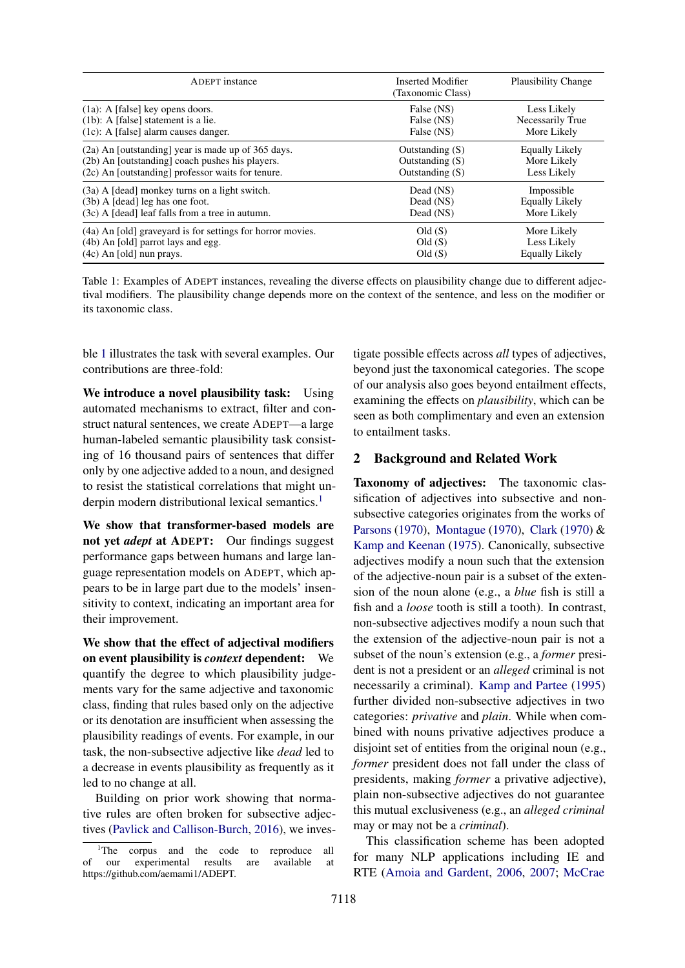<span id="page-1-0"></span>

| ADEPT instance                                             | Inserted Modifier<br>(Taxonomic Class) | <b>Plausibility Change</b> |
|------------------------------------------------------------|----------------------------------------|----------------------------|
| $(1a)$ : A [false] key opens doors.                        | False (NS)                             | Less Likely                |
| $(1b)$ : A [false] statement is a lie.                     | False (NS)                             | Necessarily True           |
| $(1c)$ : A [false] alarm causes danger.                    | False (NS)                             | More Likely                |
| (2a) An [outstanding] year is made up of 365 days.         | Outstanding $(S)$                      | Equally Likely             |
| (2b) An [outstanding] coach pushes his players.            | Outstanding $(S)$                      | More Likely                |
| (2c) An [outstanding] professor waits for tenure.          | Outstanding $(S)$                      | Less Likely                |
| (3a) A [dead] monkey turns on a light switch.              | Dead (NS)                              | Impossible                 |
| $(3b)$ A [dead] leg has one foot.                          | Dead (NS)                              | <b>Equally Likely</b>      |
| (3c) A [dead] leaf falls from a tree in autumn.            | Dead (NS)                              | More Likely                |
| (4a) An [old] graveyard is for settings for horror movies. | Old(S)                                 | More Likely                |
| (4b) An [old] parrot lays and egg.                         | Old(S)                                 | Less Likely                |
| $(4c)$ An [old] nun prays.                                 | Old(S)                                 | <b>Equally Likely</b>      |

Table 1: Examples of ADEPT instances, revealing the diverse effects on plausibility change due to different adjectival modifiers. The plausibility change depends more on the context of the sentence, and less on the modifier or its taxonomic class.

ble [1](#page-1-0) illustrates the task with several examples. Our contributions are three-fold:

We introduce a novel plausibility task: Using automated mechanisms to extract, filter and construct natural sentences, we create ADEPT—a large human-labeled semantic plausibility task consisting of 16 thousand pairs of sentences that differ only by one adjective added to a noun, and designed to resist the statistical correlations that might un-derpin modern distributional lexical semantics.<sup>[1](#page-1-1)</sup>

We show that transformer-based models are not yet *adept* at ADEPT: Our findings suggest performance gaps between humans and large language representation models on ADEPT, which appears to be in large part due to the models' insensitivity to context, indicating an important area for their improvement.

We show that the effect of adjectival modifiers on event plausibility is *context* dependent: We quantify the degree to which plausibility judgements vary for the same adjective and taxonomic class, finding that rules based only on the adjective or its denotation are insufficient when assessing the plausibility readings of events. For example, in our task, the non-subsective adjective like *dead* led to a decrease in events plausibility as frequently as it led to no change at all.

Building on prior work showing that normative rules are often broken for subsective adjectives [\(Pavlick and Callison-Burch,](#page-10-3) [2016\)](#page-10-3), we inves-

tigate possible effects across *all* types of adjectives, beyond just the taxonomical categories. The scope of our analysis also goes beyond entailment effects, examining the effects on *plausibility*, which can be seen as both complimentary and even an extension to entailment tasks.

## <span id="page-1-2"></span>2 Background and Related Work

Taxonomy of adjectives: The taxonomic classification of adjectives into subsective and nonsubsective categories originates from the works of [Parsons](#page-10-4) [\(1970\)](#page-10-4), [Montague](#page-10-5) [\(1970\)](#page-10-5), [Clark](#page-9-2) [\(1970\)](#page-9-2) & [Kamp and Keenan](#page-9-3) [\(1975\)](#page-9-3). Canonically, subsective adjectives modify a noun such that the extension of the adjective-noun pair is a subset of the extension of the noun alone (e.g., a *blue* fish is still a fish and a *loose* tooth is still a tooth). In contrast, non-subsective adjectives modify a noun such that the extension of the adjective-noun pair is not a subset of the noun's extension (e.g., a *former* president is not a president or an *alleged* criminal is not necessarily a criminal). [Kamp and Partee](#page-9-4) [\(1995\)](#page-9-4) further divided non-subsective adjectives in two categories: *privative* and *plain*. While when combined with nouns privative adjectives produce a disjoint set of entities from the original noun (e.g., *former* president does not fall under the class of presidents, making *former* a privative adjective), plain non-subsective adjectives do not guarantee this mutual exclusiveness (e.g., an *alleged criminal* may or may not be a *criminal*).

This classification scheme has been adopted for many NLP applications including IE and RTE [\(Amoia and Gardent,](#page-9-5) [2006,](#page-9-5) [2007;](#page-9-0) [McCrae](#page-10-1)

<span id="page-1-1"></span><sup>&</sup>lt;sup>1</sup>The corpus and the code to reproduce all of our experimental results are available at  $e^{\frac{1}{2}}$  contributed at  $e^{\frac{1}{2}}$  results https://github.com/aemami1/ADEPT.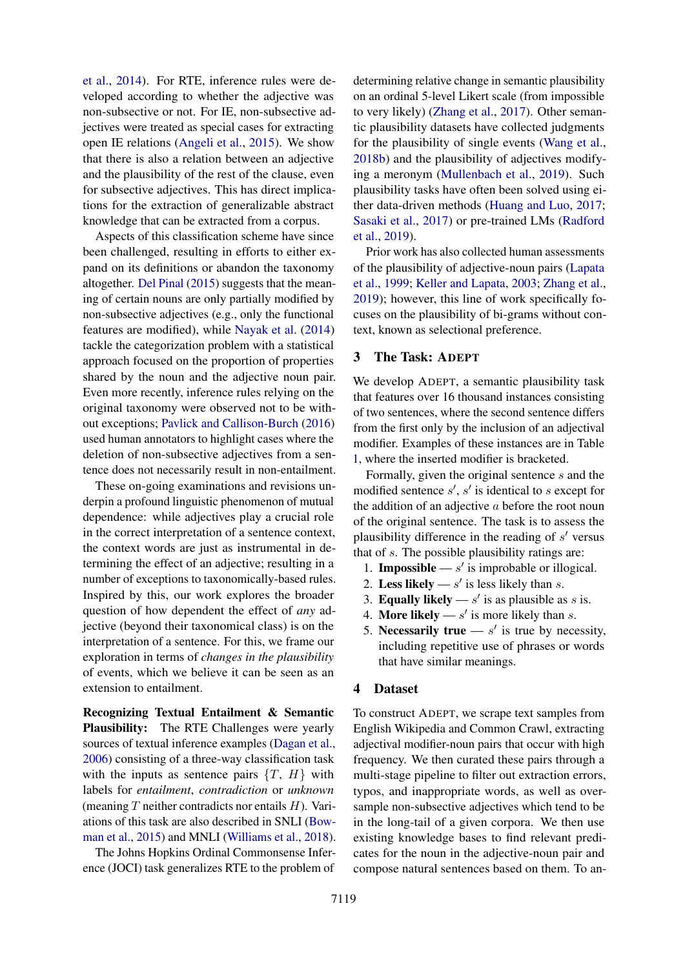[et al.,](#page-10-1) [2014\)](#page-10-1). For RTE, inference rules were developed according to whether the adjective was non-subsective or not. For IE, non-subsective adjectives were treated as special cases for extracting open IE relations [\(Angeli et al.,](#page-9-6) [2015\)](#page-9-6). We show that there is also a relation between an adjective and the plausibility of the rest of the clause, even for subsective adjectives. This has direct implications for the extraction of generalizable abstract knowledge that can be extracted from a corpus.

Aspects of this classification scheme have since been challenged, resulting in efforts to either expand on its definitions or abandon the taxonomy altogether. [Del Pinal](#page-9-7) [\(2015\)](#page-9-7) suggests that the meaning of certain nouns are only partially modified by non-subsective adjectives (e.g., only the functional features are modified), while [Nayak et al.](#page-10-6) [\(2014\)](#page-10-6) tackle the categorization problem with a statistical approach focused on the proportion of properties shared by the noun and the adjective noun pair. Even more recently, inference rules relying on the original taxonomy were observed not to be without exceptions; [Pavlick and Callison-Burch](#page-10-3) [\(2016\)](#page-10-3) used human annotators to highlight cases where the deletion of non-subsective adjectives from a sentence does not necessarily result in non-entailment.

These on-going examinations and revisions underpin a profound linguistic phenomenon of mutual dependence: while adjectives play a crucial role in the correct interpretation of a sentence context, the context words are just as instrumental in determining the effect of an adjective; resulting in a number of exceptions to taxonomically-based rules. Inspired by this, our work explores the broader question of how dependent the effect of *any* adjective (beyond their taxonomical class) is on the interpretation of a sentence. For this, we frame our exploration in terms of *changes in the plausibility* of events, which we believe it can be seen as an extension to entailment.

Recognizing Textual Entailment & Semantic Plausibility: The RTE Challenges were yearly sources of textual inference examples [\(Dagan et al.,](#page-9-8) [2006\)](#page-9-8) consisting of a three-way classification task with the inputs as sentence pairs  $\{T, H\}$  with labels for *entailment*, *contradiction* or *unknown* (meaning  $T$  neither contradicts nor entails  $H$ ). Variations of this task are also described in SNLI [\(Bow](#page-9-9)[man et al.,](#page-9-9) [2015\)](#page-9-9) and MNLI [\(Williams et al.,](#page-11-0) [2018\)](#page-11-0).

The Johns Hopkins Ordinal Commonsense Inference (JOCI) task generalizes RTE to the problem of

determining relative change in semantic plausibility on an ordinal 5-level Likert scale (from impossible to very likely) [\(Zhang et al.,](#page-11-1) [2017\)](#page-11-1). Other semantic plausibility datasets have collected judgments for the plausibility of single events [\(Wang et al.,](#page-10-7) [2018b\)](#page-10-7) and the plausibility of adjectives modifying a meronym [\(Mullenbach et al.,](#page-10-8) [2019\)](#page-10-8). Such plausibility tasks have often been solved using either data-driven methods [\(Huang and Luo,](#page-9-10) [2017;](#page-9-10) [Sasaki et al.,](#page-10-9) [2017\)](#page-10-9) or pre-trained LMs [\(Radford](#page-10-10) [et al.,](#page-10-10) [2019\)](#page-10-10).

Prior work has also collected human assessments of the plausibility of adjective-noun pairs [\(Lapata](#page-10-11) [et al.,](#page-10-11) [1999;](#page-10-11) [Keller and Lapata,](#page-9-11) [2003;](#page-9-11) [Zhang et al.,](#page-11-2) [2019\)](#page-11-2); however, this line of work specifically focuses on the plausibility of bi-grams without context, known as selectional preference.

## <span id="page-2-0"></span>3 The Task: ADEPT

We develop ADEPT, a semantic plausibility task that features over 16 thousand instances consisting of two sentences, where the second sentence differs from the first only by the inclusion of an adjectival modifier. Examples of these instances are in Table [1,](#page-1-0) where the inserted modifier is bracketed.

Formally, given the original sentence s and the modified sentence  $s'$ ,  $s'$  is identical to  $s$  except for the addition of an adjective  $a$  before the root noun of the original sentence. The task is to assess the plausibility difference in the reading of  $s'$  versus that of s. The possible plausibility ratings are:

- 1. **Impossible**  $-s'$  is improbable or illogical.
- 2. Less likely  $-s'$  is less likely than s.
- 3. Equally likely  $s'$  is as plausible as s is.
- 4. More likely  $s'$  is more likely than  $s$ .
- 5. Necessarily true  $-s'$  is true by necessity, including repetitive use of phrases or words that have similar meanings.

#### 4 Dataset

To construct ADEPT, we scrape text samples from English Wikipedia and Common Crawl, extracting adjectival modifier-noun pairs that occur with high frequency. We then curated these pairs through a multi-stage pipeline to filter out extraction errors, typos, and inappropriate words, as well as oversample non-subsective adjectives which tend to be in the long-tail of a given corpora. We then use existing knowledge bases to find relevant predicates for the noun in the adjective-noun pair and compose natural sentences based on them. To an-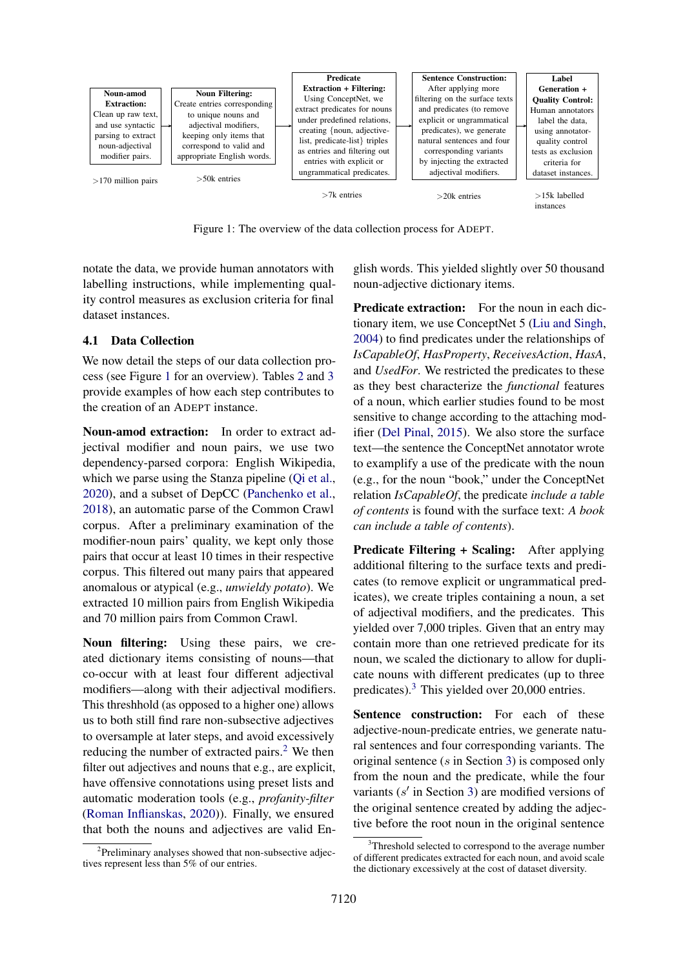<span id="page-3-0"></span>

Figure 1: The overview of the data collection process for ADEPT.

notate the data, we provide human annotators with labelling instructions, while implementing quality control measures as exclusion criteria for final dataset instances.

## 4.1 Data Collection

We now detail the steps of our data collection process (see Figure [1](#page-3-0) for an overview). Tables [2](#page-4-0) and [3](#page-4-1) provide examples of how each step contributes to the creation of an ADEPT instance.

Noun-amod extraction: In order to extract adjectival modifier and noun pairs, we use two dependency-parsed corpora: English Wikipedia, which we parse using the Stanza pipeline [\(Qi et al.,](#page-10-12) [2020\)](#page-10-12), and a subset of DepCC [\(Panchenko et al.,](#page-10-13) [2018\)](#page-10-13), an automatic parse of the Common Crawl corpus. After a preliminary examination of the modifier-noun pairs' quality, we kept only those pairs that occur at least 10 times in their respective corpus. This filtered out many pairs that appeared anomalous or atypical (e.g., *unwieldy potato*). We extracted 10 million pairs from English Wikipedia and 70 million pairs from Common Crawl.

Noun filtering: Using these pairs, we created dictionary items consisting of nouns—that co-occur with at least four different adjectival modifiers—along with their adjectival modifiers. This threshhold (as opposed to a higher one) allows us to both still find rare non-subsective adjectives to oversample at later steps, and avoid excessively reducing the number of extracted pairs. $<sup>2</sup>$  $<sup>2</sup>$  $<sup>2</sup>$  We then</sup> filter out adjectives and nouns that e.g., are explicit, have offensive connotations using preset lists and automatic moderation tools (e.g., *profanity-filter* [\(Roman Inflianskas,](#page-10-14) [2020\)](#page-10-14)). Finally, we ensured that both the nouns and adjectives are valid English words. This yielded slightly over 50 thousand noun-adjective dictionary items.

Predicate extraction: For the noun in each dictionary item, we use ConceptNet 5 [\(Liu and Singh,](#page-10-15) [2004\)](#page-10-15) to find predicates under the relationships of *IsCapableOf*, *HasProperty*, *ReceivesAction*, *HasA*, and *UsedFor*. We restricted the predicates to these as they best characterize the *functional* features of a noun, which earlier studies found to be most sensitive to change according to the attaching modifier [\(Del Pinal,](#page-9-7) [2015\)](#page-9-7). We also store the surface text—the sentence the ConceptNet annotator wrote to examplify a use of the predicate with the noun (e.g., for the noun "book," under the ConceptNet relation *IsCapableOf*, the predicate *include a table of contents* is found with the surface text: *A book can include a table of contents*).

Predicate Filtering + Scaling: After applying additional filtering to the surface texts and predicates (to remove explicit or ungrammatical predicates), we create triples containing a noun, a set of adjectival modifiers, and the predicates. This yielded over 7,000 triples. Given that an entry may contain more than one retrieved predicate for its noun, we scaled the dictionary to allow for duplicate nouns with different predicates (up to three predicates).[3](#page-3-2) This yielded over 20,000 entries.

Sentence construction: For each of these adjective-noun-predicate entries, we generate natural sentences and four corresponding variants. The original sentence (s in Section [3\)](#page-2-0) is composed only from the noun and the predicate, while the four variants  $(s'$  in Section [3\)](#page-2-0) are modified versions of the original sentence created by adding the adjective before the root noun in the original sentence

<span id="page-3-1"></span><sup>&</sup>lt;sup>2</sup>Preliminary analyses showed that non-subsective adjectives represent less than 5% of our entries.

<span id="page-3-2"></span><sup>&</sup>lt;sup>3</sup>Threshold selected to correspond to the average number of different predicates extracted for each noun, and avoid scale the dictionary excessively at the cost of dataset diversity.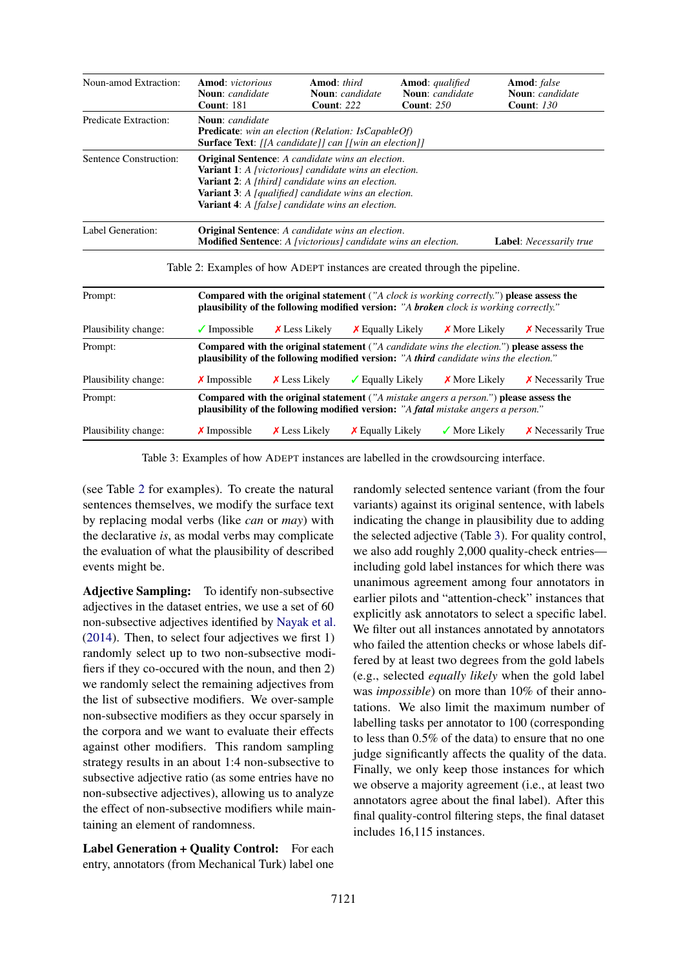<span id="page-4-0"></span>

| Noun-amod Extraction:        | <b>Amod:</b> victorious<br><b>Noun:</b> candidate<br><b>Count: 181</b>                                                                                                                                                                                                                                       | <b>Amod:</b> third<br><b>Count: 222</b> | <b>Noun:</b> candidate     | <b>Amod:</b> qualified<br>Noun: candidate<br><b>Count: 250</b> | Amod: false<br><b>Noun:</b> candidate<br><b>Count: 130</b>                                   |
|------------------------------|--------------------------------------------------------------------------------------------------------------------------------------------------------------------------------------------------------------------------------------------------------------------------------------------------------------|-----------------------------------------|----------------------------|----------------------------------------------------------------|----------------------------------------------------------------------------------------------|
| <b>Predicate Extraction:</b> | <b>Noun:</b> candidate<br><b>Predicate:</b> win an election (Relation: IsCapableOf)<br><b>Surface Text:</b> [[A candidate]] can [[win an election]]                                                                                                                                                          |                                         |                            |                                                                |                                                                                              |
| Sentence Construction:       | <b>Original Sentence:</b> A candidate wins an election.<br><b>Variant 1:</b> A [victorious] candidate wins an election.<br><b>Variant 2:</b> A [third] candidate wins an election.<br><b>Variant 3:</b> A [qualified] candidate wins an election.<br><b>Variant 4:</b> A [false] candidate wins an election. |                                         |                            |                                                                |                                                                                              |
| Label Generation:            | <b>Original Sentence:</b> A candidate wins an election.<br>Modified Sentence: A [victorious] candidate wins an election.                                                                                                                                                                                     |                                         |                            |                                                                | <b>Label:</b> Necessarily true                                                               |
|                              | Table 2: Examples of how ADEPT instances are created through the pipeline.                                                                                                                                                                                                                                   |                                         |                            |                                                                |                                                                                              |
| Prompt:                      | <b>plausibility of the following modified version:</b> "A <b>broken</b> clock is working correctly."                                                                                                                                                                                                         |                                         |                            |                                                                | Compared with the original statement ("A clock is working correctly.") please assess the     |
| Plausibility change:         | $\sqrt{\ }$ Impossible                                                                                                                                                                                                                                                                                       | $X$ Less Likely                         | $\chi$ Equally Likely      | $\chi$ More Likely                                             | <b>X</b> Necessarily True                                                                    |
| Prompt:                      | <b>plausibility of the following modified version:</b> "A <b>third</b> candidate wins the election."                                                                                                                                                                                                         |                                         |                            |                                                                | Compared with the original statement ("A candidate wins the election.") please assess the    |
| Plausibility change:         | $\chi$ Impossible                                                                                                                                                                                                                                                                                            | $X$ Less Likely                         | $\sqrt{\ }$ Equally Likely | $\chi$ More Likely                                             | <b>X</b> Necessarily True                                                                    |
| Prompt:                      | plausibility of the following modified version: "A fatal mistake angers a person."                                                                                                                                                                                                                           |                                         |                            |                                                                | <b>Compared with the original statement</b> ("A mistake angers a person.") please assess the |
| Plausibility change:         | $\times$ Impossible                                                                                                                                                                                                                                                                                          | <b>X</b> Less Likely                    | $\chi$ Equally Likely      | $\sqrt{\ }$ More Likely                                        | $\chi$ Necessarily True                                                                      |

<span id="page-4-1"></span>Table 3: Examples of how ADEPT instances are labelled in the crowdsourcing interface.

(see Table [2](#page-4-0) for examples). To create the natural sentences themselves, we modify the surface text by replacing modal verbs (like *can* or *may*) with the declarative *is*, as modal verbs may complicate the evaluation of what the plausibility of described events might be.

Adjective Sampling: To identify non-subsective adjectives in the dataset entries, we use a set of 60 non-subsective adjectives identified by [Nayak et al.](#page-10-6) [\(2014\)](#page-10-6). Then, to select four adjectives we first 1) randomly select up to two non-subsective modifiers if they co-occured with the noun, and then 2) we randomly select the remaining adjectives from the list of subsective modifiers. We over-sample non-subsective modifiers as they occur sparsely in the corpora and we want to evaluate their effects against other modifiers. This random sampling strategy results in an about 1:4 non-subsective to subsective adjective ratio (as some entries have no non-subsective adjectives), allowing us to analyze the effect of non-subsective modifiers while maintaining an element of randomness.

Label Generation + Quality Control: For each entry, annotators (from Mechanical Turk) label one randomly selected sentence variant (from the four variants) against its original sentence, with labels indicating the change in plausibility due to adding the selected adjective (Table [3\)](#page-4-1). For quality control, we also add roughly 2,000 quality-check entries including gold label instances for which there was unanimous agreement among four annotators in earlier pilots and "attention-check" instances that explicitly ask annotators to select a specific label. We filter out all instances annotated by annotators who failed the attention checks or whose labels differed by at least two degrees from the gold labels (e.g., selected *equally likely* when the gold label was *impossible*) on more than 10% of their annotations. We also limit the maximum number of labelling tasks per annotator to 100 (corresponding to less than 0.5% of the data) to ensure that no one judge significantly affects the quality of the data. Finally, we only keep those instances for which we observe a majority agreement (i.e., at least two annotators agree about the final label). After this final quality-control filtering steps, the final dataset includes 16,115 instances.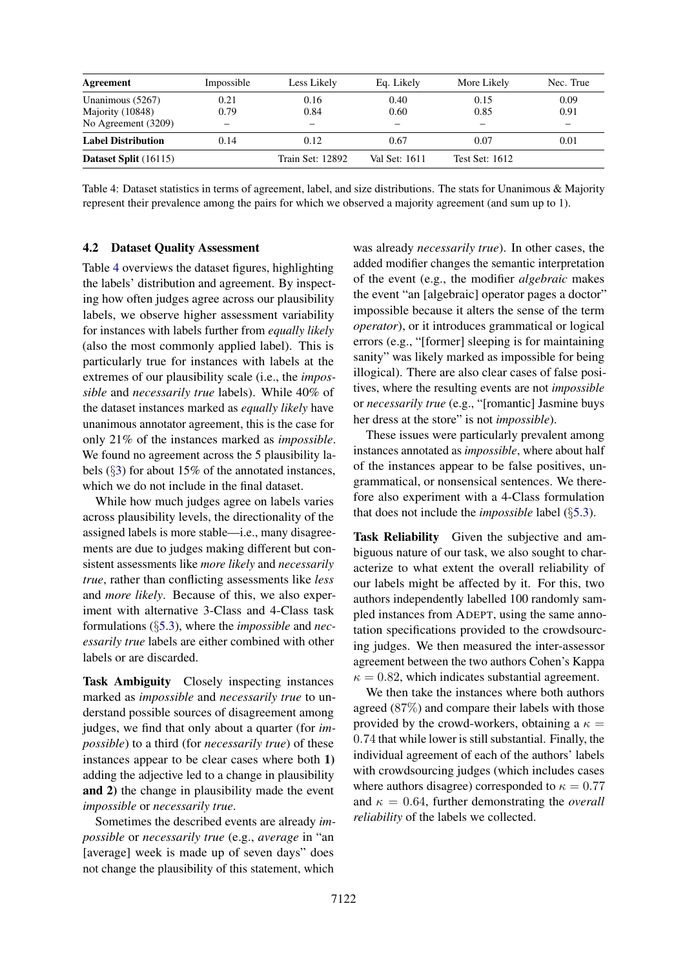<span id="page-5-0"></span>

| Agreement                            | Impossible   | Less Likely             | Eq. Likely    | More Likely           | Nec. True                |
|--------------------------------------|--------------|-------------------------|---------------|-----------------------|--------------------------|
| Unanimous (5267)<br>Majority (10848) | 0.21<br>0.79 | 0.16<br>0.84            | 0.40<br>0.60  | 0.15<br>0.85          | 0.09<br>0.91             |
| No Agreement (3209)                  |              |                         |               |                       | $\overline{\phantom{m}}$ |
| <b>Label Distribution</b>            | 0.14         | 0.12                    | 0.67          | 0.07                  | 0.01                     |
| Dataset Split (16115)                |              | <b>Train Set: 12892</b> | Val Set: 1611 | <b>Test Set: 1612</b> |                          |

Table 4: Dataset statistics in terms of agreement, label, and size distributions. The stats for Unanimous & Majority represent their prevalence among the pairs for which we observed a majority agreement (and sum up to 1).

#### <span id="page-5-1"></span>4.2 Dataset Quality Assessment

Table [4](#page-5-0) overviews the dataset figures, highlighting the labels' distribution and agreement. By inspecting how often judges agree across our plausibility labels, we observe higher assessment variability for instances with labels further from *equally likely* (also the most commonly applied label). This is particularly true for instances with labels at the extremes of our plausibility scale (i.e., the *impossible* and *necessarily true* labels). While 40% of the dataset instances marked as *equally likely* have unanimous annotator agreement, this is the case for only 21% of the instances marked as *impossible*. We found no agreement across the 5 plausibility labels (§[3\)](#page-2-0) for about 15% of the annotated instances, which we do not include in the final dataset.

While how much judges agree on labels varies across plausibility levels, the directionality of the assigned labels is more stable—i.e., many disagreements are due to judges making different but consistent assessments like *more likely* and *necessarily true*, rather than conflicting assessments like *less* and *more likely*. Because of this, we also experiment with alternative 3-Class and 4-Class task formulations (§[5.3\)](#page-6-0), where the *impossible* and *necessarily true* labels are either combined with other labels or are discarded.

Task Ambiguity Closely inspecting instances marked as *impossible* and *necessarily true* to understand possible sources of disagreement among judges, we find that only about a quarter (for *impossible*) to a third (for *necessarily true*) of these instances appear to be clear cases where both 1) adding the adjective led to a change in plausibility and 2) the change in plausibility made the event *impossible* or *necessarily true*.

Sometimes the described events are already *impossible* or *necessarily true* (e.g., *average* in "an [average] week is made up of seven days" does not change the plausibility of this statement, which

was already *necessarily true*). In other cases, the added modifier changes the semantic interpretation of the event (e.g., the modifier *algebraic* makes the event "an [algebraic] operator pages a doctor" impossible because it alters the sense of the term *operator*), or it introduces grammatical or logical errors (e.g., "[former] sleeping is for maintaining sanity" was likely marked as impossible for being illogical). There are also clear cases of false positives, where the resulting events are not *impossible* or *necessarily true* (e.g., "[romantic] Jasmine buys her dress at the store" is not *impossible*).

These issues were particularly prevalent among instances annotated as *impossible*, where about half of the instances appear to be false positives, ungrammatical, or nonsensical sentences. We therefore also experiment with a 4-Class formulation that does not include the *impossible* label (§[5.3\)](#page-6-0).

Task Reliability Given the subjective and ambiguous nature of our task, we also sought to characterize to what extent the overall reliability of our labels might be affected by it. For this, two authors independently labelled 100 randomly sampled instances from ADEPT, using the same annotation specifications provided to the crowdsourcing judges. We then measured the inter-assessor agreement between the two authors Cohen's Kappa  $\kappa = 0.82$ , which indicates substantial agreement.

We then take the instances where both authors agreed (87%) and compare their labels with those provided by the crowd-workers, obtaining a  $\kappa =$ 0.74 that while lower is still substantial. Finally, the individual agreement of each of the authors' labels with crowdsourcing judges (which includes cases where authors disagree) corresponded to  $\kappa = 0.77$ and  $\kappa = 0.64$ , further demonstrating the *overall reliability* of the labels we collected.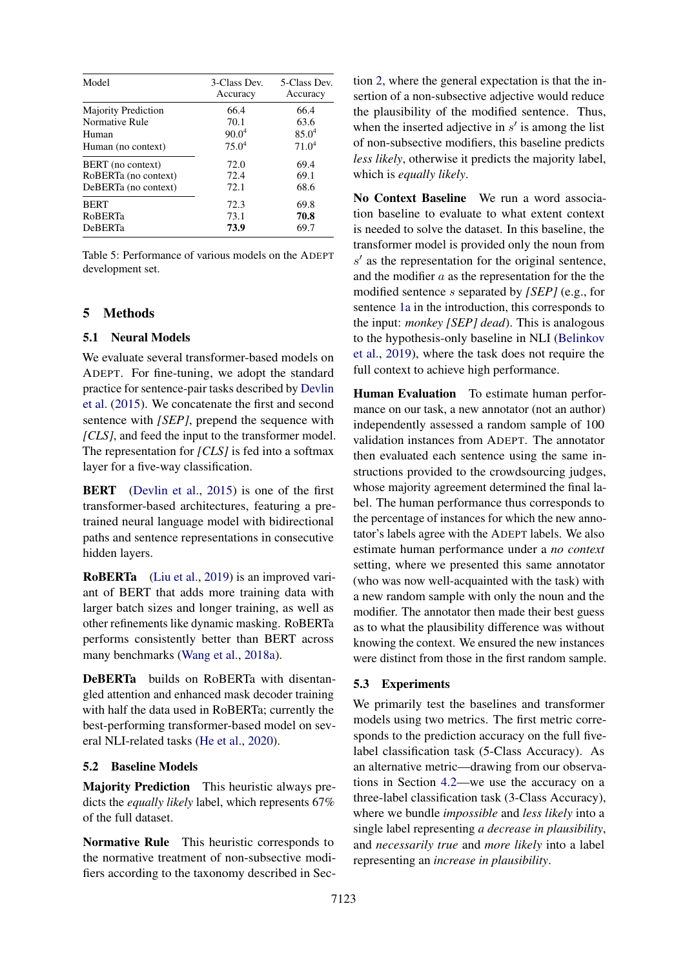<span id="page-6-1"></span>

| Model                      | 3-Class Dev.<br>Accuracy | 5-Class Dev.<br>Accuracy |
|----------------------------|--------------------------|--------------------------|
| <b>Majority Prediction</b> | 66.4                     | 66.4                     |
| Normative Rule             | 70.1                     | 63.6                     |
| Human                      | 90.0 <sup>4</sup>        | $85.0^{4}$               |
| Human (no context)         | 75.0 <sup>4</sup>        | 71.0 <sup>4</sup>        |
| BERT (no context)          | 72.0                     | 69.4                     |
| RoBERTa (no context)       | 72.4                     | 69.1                     |
| DeBERTa (no context)       | 72.1                     | 68.6                     |
| <b>BERT</b>                | 72.3                     | 69.8                     |
| <b>RoBERTa</b>             | 73.1                     | 70.8                     |
| <b>DeBERTa</b>             | 73.9                     | 69.7                     |

Table 5: Performance of various models on the ADEPT development set.

# 5 Methods

#### 5.1 Neural Models

We evaluate several transformer-based models on ADEPT. For fine-tuning, we adopt the standard practice for sentence-pair tasks described by [Devlin](#page-9-12) [et al.](#page-9-12) [\(2015\)](#page-9-12). We concatenate the first and second sentence with *[SEP]*, prepend the sequence with *[CLS]*, and feed the input to the transformer model. The representation for *[CLS]* is fed into a softmax layer for a five-way classification.

BERT [\(Devlin et al.,](#page-9-12) [2015\)](#page-9-12) is one of the first transformer-based architectures, featuring a pretrained neural language model with bidirectional paths and sentence representations in consecutive hidden layers.

RoBERTa [\(Liu et al.,](#page-10-2) [2019\)](#page-10-2) is an improved variant of BERT that adds more training data with larger batch sizes and longer training, as well as other refinements like dynamic masking. RoBERTa performs consistently better than BERT across many benchmarks [\(Wang et al.,](#page-10-16) [2018a\)](#page-10-16).

DeBERTa builds on RoBERTa with disentangled attention and enhanced mask decoder training with half the data used in RoBERTa; currently the best-performing transformer-based model on several NLI-related tasks [\(He et al.,](#page-9-1) [2020\)](#page-9-1).

## 5.2 Baseline Models

Majority Prediction This heuristic always predicts the *equally likely* label, which represents 67% of the full dataset.

Normative Rule This heuristic corresponds to the normative treatment of non-subsective modifiers according to the taxonomy described in Section [2,](#page-1-2) where the general expectation is that the insertion of a non-subsective adjective would reduce the plausibility of the modified sentence. Thus, when the inserted adjective in  $s'$  is among the list of non-subsective modifiers, this baseline predicts *less likely*, otherwise it predicts the majority label, which is *equally likely*.

No Context Baseline We run a word association baseline to evaluate to what extent context is needed to solve the dataset. In this baseline, the transformer model is provided only the noun from  $s'$  as the representation for the original sentence, and the modifier  $a$  as the representation for the the modified sentence s separated by *[SEP]* (e.g., for sentence [1a](#page-0-2) in the introduction, this corresponds to the input: *monkey [SEP] dead*). This is analogous to the hypothesis-only baseline in NLI [\(Belinkov](#page-9-13) [et al.,](#page-9-13) [2019\)](#page-9-13), where the task does not require the full context to achieve high performance.

Human Evaluation To estimate human performance on our task, a new annotator (not an author) independently assessed a random sample of 100 validation instances from ADEPT. The annotator then evaluated each sentence using the same instructions provided to the crowdsourcing judges, whose majority agreement determined the final label. The human performance thus corresponds to the percentage of instances for which the new annotator's labels agree with the ADEPT labels. We also estimate human performance under a *no context* setting, where we presented this same annotator (who was now well-acquainted with the task) with a new random sample with only the noun and the modifier. The annotator then made their best guess as to what the plausibility difference was without knowing the context. We ensured the new instances were distinct from those in the first random sample.

## <span id="page-6-0"></span>5.3 Experiments

We primarily test the baselines and transformer models using two metrics. The first metric corresponds to the prediction accuracy on the full fivelabel classification task (5-Class Accuracy). As an alternative metric—drawing from our observations in Section [4.2—](#page-5-1)we use the accuracy on a three-label classification task (3-Class Accuracy), where we bundle *impossible* and *less likely* into a single label representing *a decrease in plausibility*, and *necessarily true* and *more likely* into a label representing an *increase in plausibility*.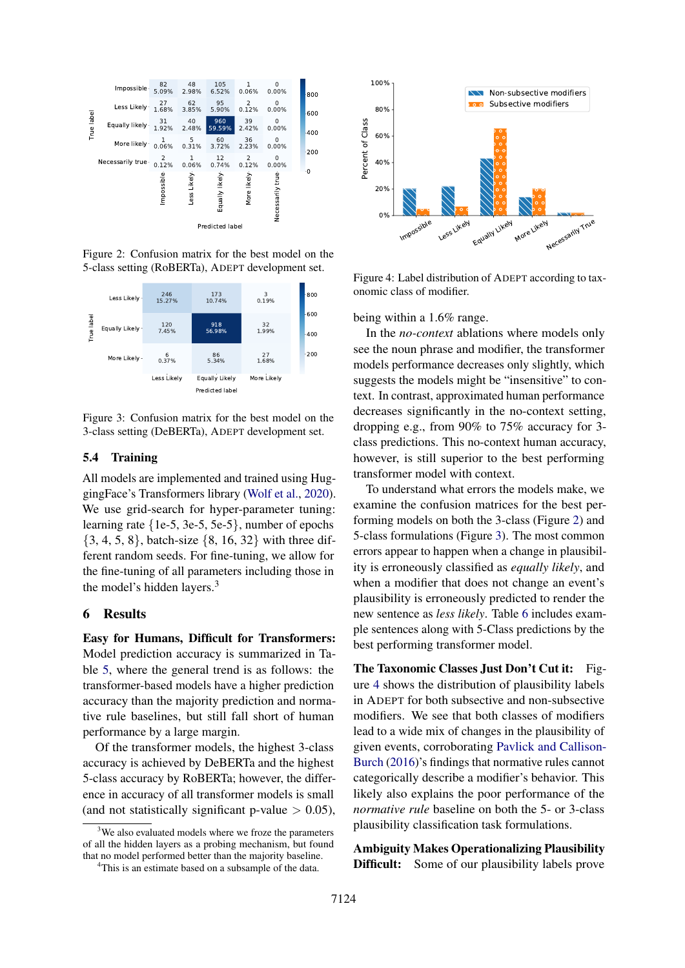<span id="page-7-0"></span>

Figure 2: Confusion matrix for the best model on the 5-class setting (RoBERTa), ADEPT development set.

<span id="page-7-1"></span>

Figure 3: Confusion matrix for the best model on the 3-class setting (DeBERTa), ADEPT development set.

# 5.4 Training

All models are implemented and trained using HuggingFace's Transformers library [\(Wolf et al.,](#page-11-3) [2020\)](#page-11-3). We use grid-search for hyper-parameter tuning: learning rate {1e-5, 3e-5, 5e-5}, number of epochs  $\{3, 4, 5, 8\}$ , batch-size  $\{8, 16, 32\}$  with three different random seeds. For fine-tuning, we allow for the fine-tuning of all parameters including those in the model's hidden layers.<sup>3</sup>

#### 6 Results

Easy for Humans, Difficult for Transformers: Model prediction accuracy is summarized in Table [5,](#page-6-1) where the general trend is as follows: the transformer-based models have a higher prediction accuracy than the majority prediction and normative rule baselines, but still fall short of human performance by a large margin.

Of the transformer models, the highest 3-class accuracy is achieved by DeBERTa and the highest 5-class accuracy by RoBERTa; however, the difference in accuracy of all transformer models is small (and not statistically significant p-value  $> 0.05$ ),

<span id="page-7-2"></span>

Figure 4: Label distribution of ADEPT according to taxonomic class of modifier.

being within a 1.6% range.

In the *no-context* ablations where models only see the noun phrase and modifier, the transformer models performance decreases only slightly, which suggests the models might be "insensitive" to context. In contrast, approximated human performance decreases significantly in the no-context setting, dropping e.g., from 90% to 75% accuracy for 3 class predictions. This no-context human accuracy, however, is still superior to the best performing transformer model with context.

To understand what errors the models make, we examine the confusion matrices for the best performing models on both the 3-class (Figure [2\)](#page-7-0) and 5-class formulations (Figure [3\)](#page-7-1). The most common errors appear to happen when a change in plausibility is erroneously classified as *equally likely*, and when a modifier that does not change an event's plausibility is erroneously predicted to render the new sentence as *less likely*. Table [6](#page-8-0) includes example sentences along with 5-Class predictions by the best performing transformer model.

The Taxonomic Classes Just Don't Cut it: Figure [4](#page-7-2) shows the distribution of plausibility labels in ADEPT for both subsective and non-subsective modifiers. We see that both classes of modifiers lead to a wide mix of changes in the plausibility of given events, corroborating [Pavlick and Callison-](#page-10-3)[Burch](#page-10-3) [\(2016\)](#page-10-3)'s findings that normative rules cannot categorically describe a modifier's behavior. This likely also explains the poor performance of the *normative rule* baseline on both the 5- or 3-class plausibility classification task formulations.

Ambiguity Makes Operationalizing Plausibility Difficult: Some of our plausibility labels prove

<sup>&</sup>lt;sup>3</sup>We also evaluated models where we froze the parameters of all the hidden layers as a probing mechanism, but found that no model performed better than the majority baseline.

<sup>&</sup>lt;sup>4</sup>This is an estimate based on a subsample of the data.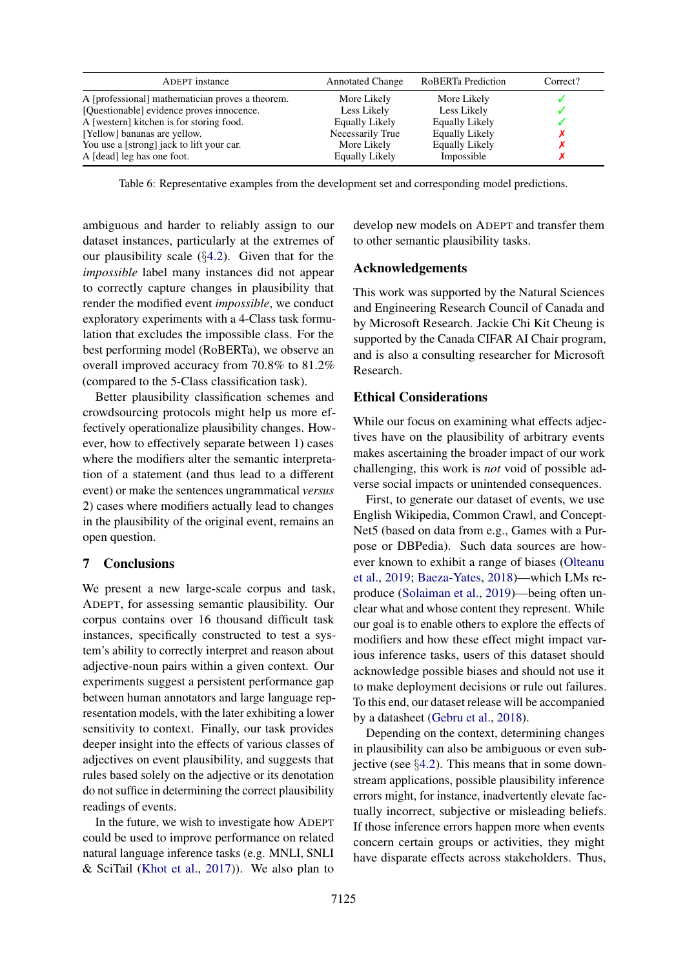<span id="page-8-0"></span>

| ADEPT instance                                   | <b>Annotated Change</b> | RoBERTa Prediction    | Correct? |
|--------------------------------------------------|-------------------------|-----------------------|----------|
| A [professional] mathematician proves a theorem. | More Likely             | More Likely           |          |
| [Questionable] evidence proves innocence.        | Less Likely             | Less Likely           |          |
| A [western] kitchen is for storing food.         | Equally Likely          | <b>Equally Likely</b> |          |
| [Yellow] bananas are yellow.                     | Necessarily True        | <b>Equally Likely</b> |          |
| You use a [strong] jack to lift your car.        | More Likely             | <b>Equally Likely</b> |          |
| A [dead] leg has one foot.                       | <b>Equally Likely</b>   | Impossible            |          |

Table 6: Representative examples from the development set and corresponding model predictions.

ambiguous and harder to reliably assign to our dataset instances, particularly at the extremes of our plausibility scale (§[4.2\)](#page-5-1). Given that for the *impossible* label many instances did not appear to correctly capture changes in plausibility that render the modified event *impossible*, we conduct exploratory experiments with a 4-Class task formulation that excludes the impossible class. For the best performing model (RoBERTa), we observe an overall improved accuracy from 70.8% to 81.2% (compared to the 5-Class classification task).

Better plausibility classification schemes and crowdsourcing protocols might help us more effectively operationalize plausibility changes. However, how to effectively separate between 1) cases where the modifiers alter the semantic interpretation of a statement (and thus lead to a different event) or make the sentences ungrammatical *versus* 2) cases where modifiers actually lead to changes in the plausibility of the original event, remains an open question.

## 7 Conclusions

We present a new large-scale corpus and task, ADEPT, for assessing semantic plausibility. Our corpus contains over 16 thousand difficult task instances, specifically constructed to test a system's ability to correctly interpret and reason about adjective-noun pairs within a given context. Our experiments suggest a persistent performance gap between human annotators and large language representation models, with the later exhibiting a lower sensitivity to context. Finally, our task provides deeper insight into the effects of various classes of adjectives on event plausibility, and suggests that rules based solely on the adjective or its denotation do not suffice in determining the correct plausibility readings of events.

In the future, we wish to investigate how ADEPT could be used to improve performance on related natural language inference tasks (e.g. MNLI, SNLI & SciTail [\(Khot et al.,](#page-10-17) [2017\)](#page-10-17)). We also plan to develop new models on ADEPT and transfer them to other semantic plausibility tasks.

#### Acknowledgements

This work was supported by the Natural Sciences and Engineering Research Council of Canada and by Microsoft Research. Jackie Chi Kit Cheung is supported by the Canada CIFAR AI Chair program, and is also a consulting researcher for Microsoft Research.

# Ethical Considerations

While our focus on examining what effects adjectives have on the plausibility of arbitrary events makes ascertaining the broader impact of our work challenging, this work is *not* void of possible adverse social impacts or unintended consequences.

First, to generate our dataset of events, we use English Wikipedia, Common Crawl, and Concept-Net5 (based on data from e.g., Games with a Purpose or DBPedia). Such data sources are however known to exhibit a range of biases [\(Olteanu](#page-10-18) [et al.,](#page-10-18) [2019;](#page-10-18) [Baeza-Yates,](#page-9-14) [2018\)](#page-9-14)—which LMs reproduce [\(Solaiman et al.,](#page-10-19) [2019\)](#page-10-19)—being often unclear what and whose content they represent. While our goal is to enable others to explore the effects of modifiers and how these effect might impact various inference tasks, users of this dataset should acknowledge possible biases and should not use it to make deployment decisions or rule out failures. To this end, our dataset release will be accompanied by a datasheet [\(Gebru et al.,](#page-9-15) [2018\)](#page-9-15).

Depending on the context, determining changes in plausibility can also be ambiguous or even subjective (see §[4.2\)](#page-5-1). This means that in some downstream applications, possible plausibility inference errors might, for instance, inadvertently elevate factually incorrect, subjective or misleading beliefs. If those inference errors happen more when events concern certain groups or activities, they might have disparate effects across stakeholders. Thus,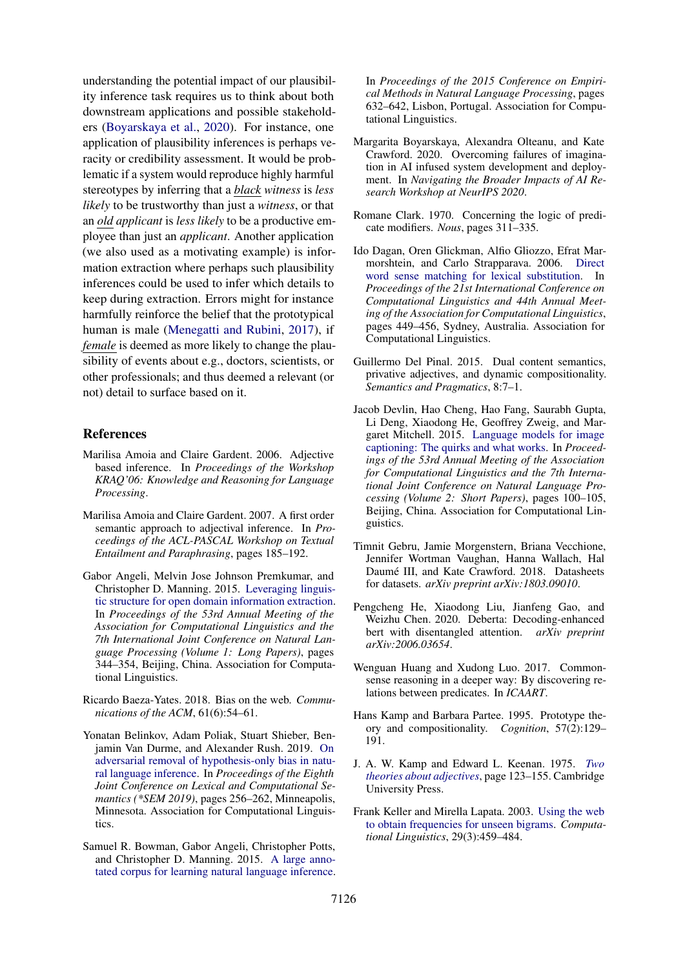understanding the potential impact of our plausibility inference task requires us to think about both downstream applications and possible stakeholders [\(Boyarskaya et al.,](#page-9-16) [2020\)](#page-9-16). For instance, one application of plausibility inferences is perhaps veracity or credibility assessment. It would be problematic if a system would reproduce highly harmful stereotypes by inferring that a *black witness* is *less likely* to be trustworthy than just a *witness*, or that an *old applicant* is *less likely* to be a productive employee than just an *applicant*. Another application (we also used as a motivating example) is information extraction where perhaps such plausibility inferences could be used to infer which details to keep during extraction. Errors might for instance harmfully reinforce the belief that the prototypical human is male [\(Menegatti and Rubini,](#page-10-20) [2017\)](#page-10-20), if *female* is deemed as more likely to change the plausibility of events about e.g., doctors, scientists, or other professionals; and thus deemed a relevant (or not) detail to surface based on it.

## References

- <span id="page-9-5"></span>Marilisa Amoia and Claire Gardent. 2006. Adjective based inference. In *Proceedings of the Workshop KRAQ'06: Knowledge and Reasoning for Language Processing*.
- <span id="page-9-0"></span>Marilisa Amoia and Claire Gardent. 2007. A first order semantic approach to adjectival inference. In *Proceedings of the ACL-PASCAL Workshop on Textual Entailment and Paraphrasing*, pages 185–192.
- <span id="page-9-6"></span>Gabor Angeli, Melvin Jose Johnson Premkumar, and Christopher D. Manning. 2015. [Leveraging linguis](https://doi.org/10.3115/v1/P15-1034)[tic structure for open domain information extraction.](https://doi.org/10.3115/v1/P15-1034) In *Proceedings of the 53rd Annual Meeting of the Association for Computational Linguistics and the 7th International Joint Conference on Natural Language Processing (Volume 1: Long Papers)*, pages 344–354, Beijing, China. Association for Computational Linguistics.
- <span id="page-9-14"></span>Ricardo Baeza-Yates. 2018. Bias on the web. *Communications of the ACM*, 61(6):54–61.
- <span id="page-9-13"></span>Yonatan Belinkov, Adam Poliak, Stuart Shieber, Benjamin Van Durme, and Alexander Rush. 2019. [On](https://doi.org/10.18653/v1/S19-1028) [adversarial removal of hypothesis-only bias in natu](https://doi.org/10.18653/v1/S19-1028)[ral language inference.](https://doi.org/10.18653/v1/S19-1028) In *Proceedings of the Eighth Joint Conference on Lexical and Computational Semantics (\*SEM 2019)*, pages 256–262, Minneapolis, Minnesota. Association for Computational Linguistics.
- <span id="page-9-9"></span>Samuel R. Bowman, Gabor Angeli, Christopher Potts, and Christopher D. Manning. 2015. [A large anno](https://doi.org/10.18653/v1/D15-1075)[tated corpus for learning natural language inference.](https://doi.org/10.18653/v1/D15-1075)

In *Proceedings of the 2015 Conference on Empirical Methods in Natural Language Processing*, pages 632–642, Lisbon, Portugal. Association for Computational Linguistics.

- <span id="page-9-16"></span>Margarita Boyarskaya, Alexandra Olteanu, and Kate Crawford. 2020. Overcoming failures of imagination in AI infused system development and deployment. In *Navigating the Broader Impacts of AI Research Workshop at NeurIPS 2020*.
- <span id="page-9-2"></span>Romane Clark. 1970. Concerning the logic of predicate modifiers. *Nous*, pages 311–335.
- <span id="page-9-8"></span>Ido Dagan, Oren Glickman, Alfio Gliozzo, Efrat Marmorshtein, and Carlo Strapparava. 2006. [Direct](https://doi.org/10.3115/1220175.1220232) [word sense matching for lexical substitution.](https://doi.org/10.3115/1220175.1220232) In *Proceedings of the 21st International Conference on Computational Linguistics and 44th Annual Meeting of the Association for Computational Linguistics*, pages 449–456, Sydney, Australia. Association for Computational Linguistics.
- <span id="page-9-7"></span>Guillermo Del Pinal. 2015. Dual content semantics, privative adjectives, and dynamic compositionality. *Semantics and Pragmatics*, 8:7–1.
- <span id="page-9-12"></span>Jacob Devlin, Hao Cheng, Hao Fang, Saurabh Gupta, Li Deng, Xiaodong He, Geoffrey Zweig, and Margaret Mitchell. 2015. [Language models for image](https://doi.org/10.3115/v1/P15-2017) [captioning: The quirks and what works.](https://doi.org/10.3115/v1/P15-2017) In *Proceedings of the 53rd Annual Meeting of the Association for Computational Linguistics and the 7th International Joint Conference on Natural Language Processing (Volume 2: Short Papers)*, pages 100–105, Beijing, China. Association for Computational Linguistics.
- <span id="page-9-15"></span>Timnit Gebru, Jamie Morgenstern, Briana Vecchione, Jennifer Wortman Vaughan, Hanna Wallach, Hal Daumé III, and Kate Crawford. 2018. Datasheets for datasets. *arXiv preprint arXiv:1803.09010*.
- <span id="page-9-1"></span>Pengcheng He, Xiaodong Liu, Jianfeng Gao, and Weizhu Chen. 2020. Deberta: Decoding-enhanced bert with disentangled attention. *arXiv preprint arXiv:2006.03654*.
- <span id="page-9-10"></span>Wenguan Huang and Xudong Luo. 2017. Commonsense reasoning in a deeper way: By discovering relations between predicates. In *ICAART*.
- <span id="page-9-4"></span>Hans Kamp and Barbara Partee. 1995. Prototype theory and compositionality. *Cognition*, 57(2):129– 191.
- <span id="page-9-3"></span>J. A. W. Kamp and Edward L. Keenan. 1975. *[Two](https://doi.org/10.1017/CBO9780511897696.011) [theories about adjectives](https://doi.org/10.1017/CBO9780511897696.011)*, page 123–155. Cambridge University Press.
- <span id="page-9-11"></span>Frank Keller and Mirella Lapata. 2003. [Using the web](https://doi.org/10.1162/089120103322711604) [to obtain frequencies for unseen bigrams.](https://doi.org/10.1162/089120103322711604) *Computational Linguistics*, 29(3):459–484.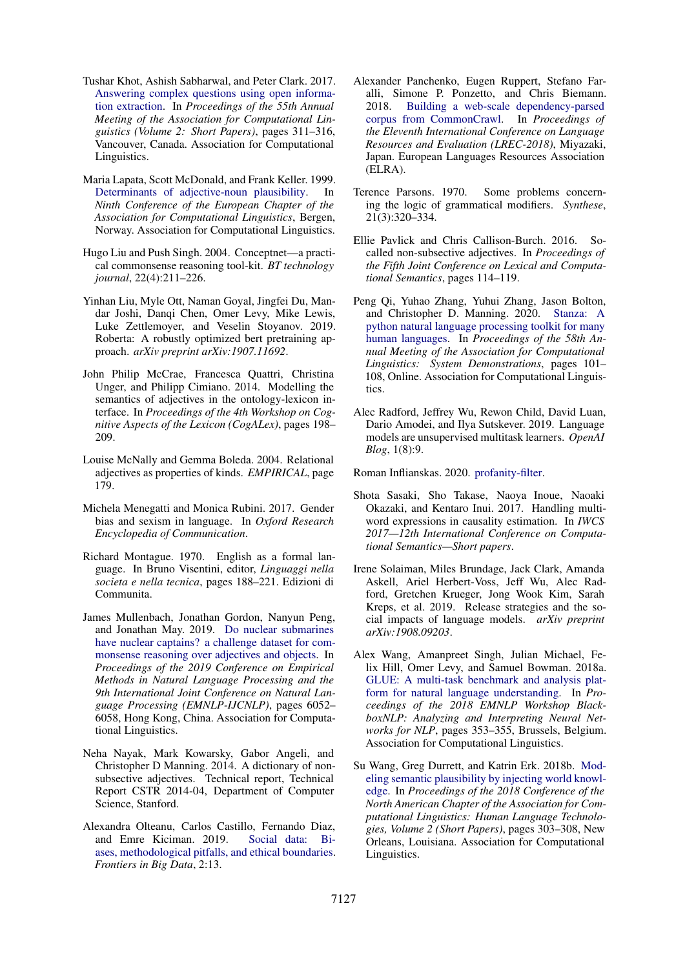- <span id="page-10-17"></span>Tushar Khot, Ashish Sabharwal, and Peter Clark. 2017. [Answering complex questions using open informa](https://doi.org/10.18653/v1/P17-2049)[tion extraction.](https://doi.org/10.18653/v1/P17-2049) In *Proceedings of the 55th Annual Meeting of the Association for Computational Linguistics (Volume 2: Short Papers)*, pages 311–316, Vancouver, Canada. Association for Computational Linguistics.
- <span id="page-10-11"></span>Maria Lapata, Scott McDonald, and Frank Keller. 1999. [Determinants of adjective-noun plausibility.](https://www.aclweb.org/anthology/E99-1005) In *Ninth Conference of the European Chapter of the Association for Computational Linguistics*, Bergen, Norway. Association for Computational Linguistics.
- <span id="page-10-15"></span>Hugo Liu and Push Singh. 2004. Conceptnet—a practical commonsense reasoning tool-kit. *BT technology journal*, 22(4):211–226.
- <span id="page-10-2"></span>Yinhan Liu, Myle Ott, Naman Goyal, Jingfei Du, Mandar Joshi, Danqi Chen, Omer Levy, Mike Lewis, Luke Zettlemoyer, and Veselin Stoyanov. 2019. Roberta: A robustly optimized bert pretraining approach. *arXiv preprint arXiv:1907.11692*.
- <span id="page-10-1"></span>John Philip McCrae, Francesca Quattri, Christina Unger, and Philipp Cimiano. 2014. Modelling the semantics of adjectives in the ontology-lexicon interface. In *Proceedings of the 4th Workshop on Cognitive Aspects of the Lexicon (CogALex)*, pages 198– 209.
- <span id="page-10-0"></span>Louise McNally and Gemma Boleda. 2004. Relational adjectives as properties of kinds. *EMPIRICAL*, page 179.
- <span id="page-10-20"></span>Michela Menegatti and Monica Rubini. 2017. Gender bias and sexism in language. In *Oxford Research Encyclopedia of Communication*.
- <span id="page-10-5"></span>Richard Montague. 1970. English as a formal language. In Bruno Visentini, editor, *Linguaggi nella societa e nella tecnica*, pages 188–221. Edizioni di Communita.
- <span id="page-10-8"></span>James Mullenbach, Jonathan Gordon, Nanyun Peng, and Jonathan May. 2019. [Do nuclear submarines](https://doi.org/10.18653/v1/D19-1625) [have nuclear captains? a challenge dataset for com](https://doi.org/10.18653/v1/D19-1625)[monsense reasoning over adjectives and objects.](https://doi.org/10.18653/v1/D19-1625) In *Proceedings of the 2019 Conference on Empirical Methods in Natural Language Processing and the 9th International Joint Conference on Natural Language Processing (EMNLP-IJCNLP)*, pages 6052– 6058, Hong Kong, China. Association for Computational Linguistics.
- <span id="page-10-6"></span>Neha Nayak, Mark Kowarsky, Gabor Angeli, and Christopher D Manning. 2014. A dictionary of nonsubsective adjectives. Technical report, Technical Report CSTR 2014-04, Department of Computer Science, Stanford.
- <span id="page-10-18"></span>Alexandra Olteanu, Carlos Castillo, Fernando Diaz, and Emre Kiciman. 2019. [Social data: Bi](https://doi.org/10.3389/fdata.2019.00013)[ases, methodological pitfalls, and ethical boundaries.](https://doi.org/10.3389/fdata.2019.00013) *Frontiers in Big Data*, 2:13.
- <span id="page-10-13"></span>Alexander Panchenko, Eugen Ruppert, Stefano Faralli, Simone P. Ponzetto, and Chris Biemann. 2018. [Building a web-scale dependency-parsed](https://www.aclweb.org/anthology/L18-1286) [corpus from CommonCrawl.](https://www.aclweb.org/anthology/L18-1286) In *Proceedings of the Eleventh International Conference on Language Resources and Evaluation (LREC-2018)*, Miyazaki, Japan. European Languages Resources Association (ELRA).
- <span id="page-10-4"></span>Terence Parsons. 1970. Some problems concerning the logic of grammatical modifiers. *Synthese*, 21(3):320–334.
- <span id="page-10-3"></span>Ellie Pavlick and Chris Callison-Burch. 2016. Socalled non-subsective adjectives. In *Proceedings of the Fifth Joint Conference on Lexical and Computational Semantics*, pages 114–119.
- <span id="page-10-12"></span>Peng Qi, Yuhao Zhang, Yuhui Zhang, Jason Bolton, and Christopher D. Manning. 2020. [Stanza: A](https://doi.org/10.18653/v1/2020.acl-demos.14) [python natural language processing toolkit for many](https://doi.org/10.18653/v1/2020.acl-demos.14) [human languages.](https://doi.org/10.18653/v1/2020.acl-demos.14) In *Proceedings of the 58th Annual Meeting of the Association for Computational Linguistics: System Demonstrations*, pages 101– 108, Online. Association for Computational Linguistics.
- <span id="page-10-10"></span>Alec Radford, Jeffrey Wu, Rewon Child, David Luan, Dario Amodei, and Ilya Sutskever. 2019. Language models are unsupervised multitask learners. *OpenAI Blog*, 1(8):9.

<span id="page-10-14"></span>Roman Inflianskas. 2020. [profanity-filter.](https://github.com/rominf/profanity-filter)

- <span id="page-10-9"></span>Shota Sasaki, Sho Takase, Naoya Inoue, Naoaki Okazaki, and Kentaro Inui. 2017. Handling multiword expressions in causality estimation. In *IWCS 2017—12th International Conference on Computational Semantics—Short papers*.
- <span id="page-10-19"></span>Irene Solaiman, Miles Brundage, Jack Clark, Amanda Askell, Ariel Herbert-Voss, Jeff Wu, Alec Radford, Gretchen Krueger, Jong Wook Kim, Sarah Kreps, et al. 2019. Release strategies and the social impacts of language models. *arXiv preprint arXiv:1908.09203*.
- <span id="page-10-16"></span>Alex Wang, Amanpreet Singh, Julian Michael, Felix Hill, Omer Levy, and Samuel Bowman. 2018a. [GLUE: A multi-task benchmark and analysis plat](https://doi.org/10.18653/v1/W18-5446)[form for natural language understanding.](https://doi.org/10.18653/v1/W18-5446) In *Proceedings of the 2018 EMNLP Workshop BlackboxNLP: Analyzing and Interpreting Neural Networks for NLP*, pages 353–355, Brussels, Belgium. Association for Computational Linguistics.
- <span id="page-10-7"></span>Su Wang, Greg Durrett, and Katrin Erk. 2018b. [Mod](https://doi.org/10.18653/v1/N18-2049)[eling semantic plausibility by injecting world knowl](https://doi.org/10.18653/v1/N18-2049)[edge.](https://doi.org/10.18653/v1/N18-2049) In *Proceedings of the 2018 Conference of the North American Chapter of the Association for Computational Linguistics: Human Language Technologies, Volume 2 (Short Papers)*, pages 303–308, New Orleans, Louisiana. Association for Computational Linguistics.